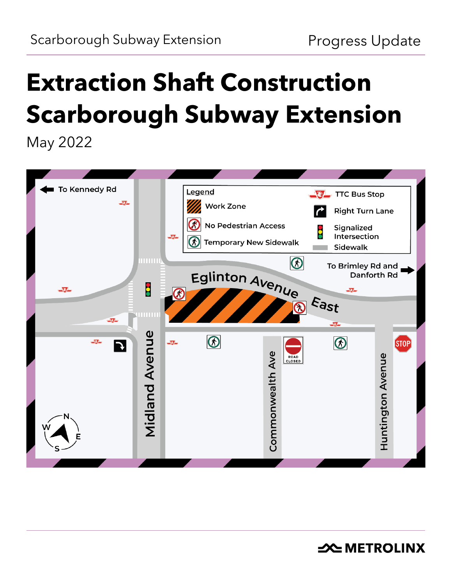# **Extraction Shaft Construction Scarborough Subway Extension**

May 2022

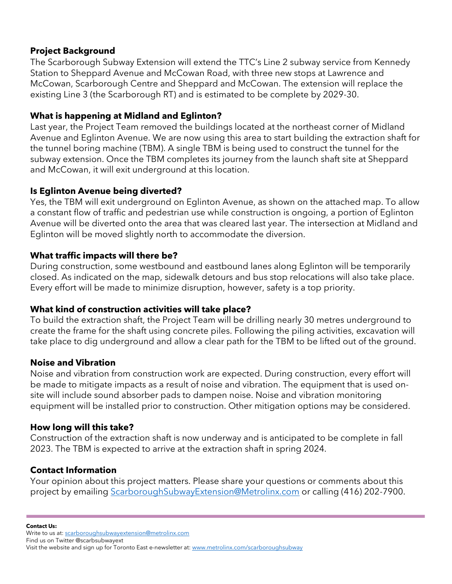#### **Project Background**

The Scarborough Subway Extension will extend the TTC's Line 2 subway service from Kennedy Station to Sheppard Avenue and McCowan Road, with three new stops at Lawrence and McCowan, Scarborough Centre and Sheppard and McCowan. The extension will replace the existing Line 3 (the Scarborough RT) and is estimated to be complete by 2029-30.

### **What is happening at Midland and Eglinton?**

Last year, the Project Team removed the buildings located at the northeast corner of Midland Avenue and Eglinton Avenue. We are now using this area to start building the extraction shaft for the tunnel boring machine (TBM). A single TBM is being used to construct the tunnel for the subway extension. Once the TBM completes its journey from the launch shaft site at Sheppard and McCowan, it will exit underground at this location.

#### **Is Eglinton Avenue being diverted?**

Yes, the TBM will exit underground on Eglinton Avenue, as shown on the attached map. To allow a constant flow of traffic and pedestrian use while construction is ongoing, a portion of Eglinton Avenue will be diverted onto the area that was cleared last year. The intersection at Midland and Eglinton will be moved slightly north to accommodate the diversion.

#### **What traffic impacts will there be?**

During construction, some westbound and eastbound lanes along Eglinton will be temporarily closed. As indicated on the map, sidewalk detours and bus stop relocations will also take place. Every effort will be made to minimize disruption, however, safety is a top priority.

#### **What kind of construction activities will take place?**

To build the extraction shaft, the Project Team will be drilling nearly 30 metres underground to create the frame for the shaft using concrete piles. Following the piling activities, excavation will take place to dig underground and allow a clear path for the TBM to be lifted out of the ground.

# **Noise and Vibration**

Noise and vibration from construction work are expected. During construction, every effort will be made to mitigate impacts as a result of noise and vibration. The equipment that is used onsite will include sound absorber pads to dampen noise. Noise and vibration monitoring equipment will be installed prior to construction. Other mitigation options may be considered.

# **How long will this take?**

Construction of the extraction shaft is now underway and is anticipated to be complete in fall 2023. The TBM is expected to arrive at the extraction shaft in spring 2024.

# **Contact Information**

Your opinion about this project matters. Please share your questions or comments about this project by emailing [ScarboroughSubwayExtension@Metrolinx.com](mailto:ScarboroughSubwayExtension@Metrolinx.com) or calling (416) 202-7900.

**Contact Us:**

Write to us at[: scarboroughsubwayextension@metrolinx.com](mailto:scarboroughsubwayextension@metrolinx.com)

Find us on Twitter @scarbsubwayext

Visit the website and sign up for Toronto East e-newsletter at[: www.metrolinx.com/scarboroughsubway](http://www.thecrosstown.ca/)